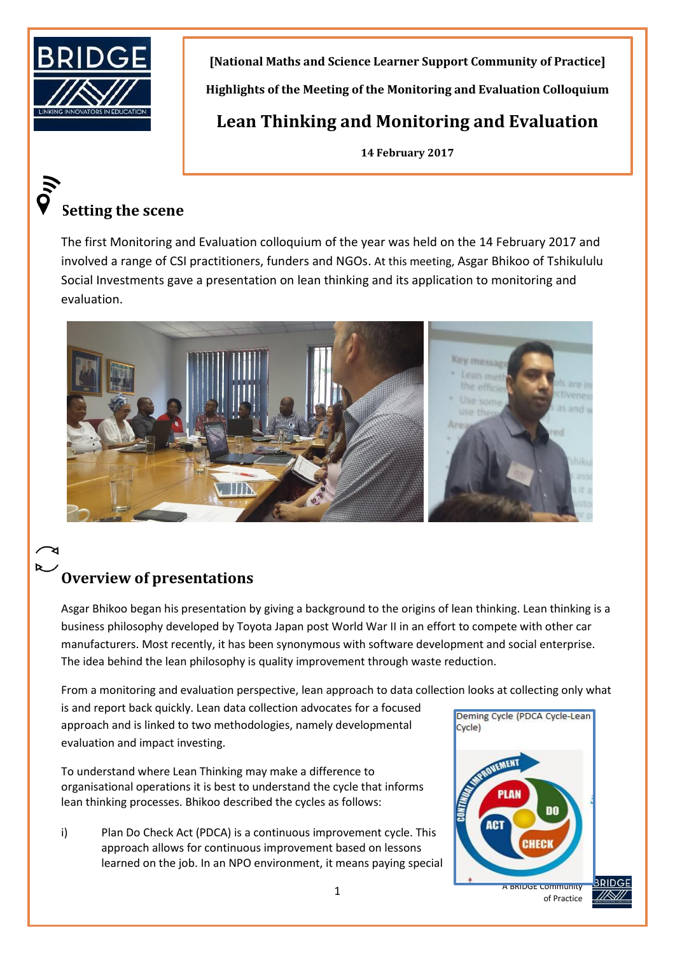

**[National Maths and Science Learner Support Community of Practice] Highlights of the Meeting of the Monitoring and Evaluation Colloquium**

**Lean Thinking and Monitoring and Evaluation**

**14 February 2017**

# **Setting the scene**

The first Monitoring and Evaluation colloquium of the year was held on the 14 February 2017 and involved a range of CSI practitioners, funders and NGOs. At this meeting, Asgar Bhikoo of Tshikululu Social Investments gave a presentation on lean thinking and its application to monitoring and evaluation.



# **Overview of presentations**

Asgar Bhikoo began his presentation by giving a background to the origins of lean thinking. Lean thinking is a business philosophy developed by Toyota Japan post World War II in an effort to compete with other car manufacturers. Most recently, it has been synonymous with software development and social enterprise. The idea behind the lean philosophy is quality improvement through waste reduction.

From a monitoring and evaluation perspective, lean approach to data collection looks at collecting only what

is and report back quickly. Lean data collection advocates for a focused approach and is linked to two methodologies, namely developmental evaluation and impact investing.

To understand where Lean Thinking may make a difference to organisational operations it is best to understand the cycle that informs lean thinking processes. Bhikoo described the cycles as follows:

i) Plan Do Check Act (PDCA) is a continuous improvement cycle. This approach allows for continuous improvement based on lessons learned on the job. In an NPO environment, it means paying special



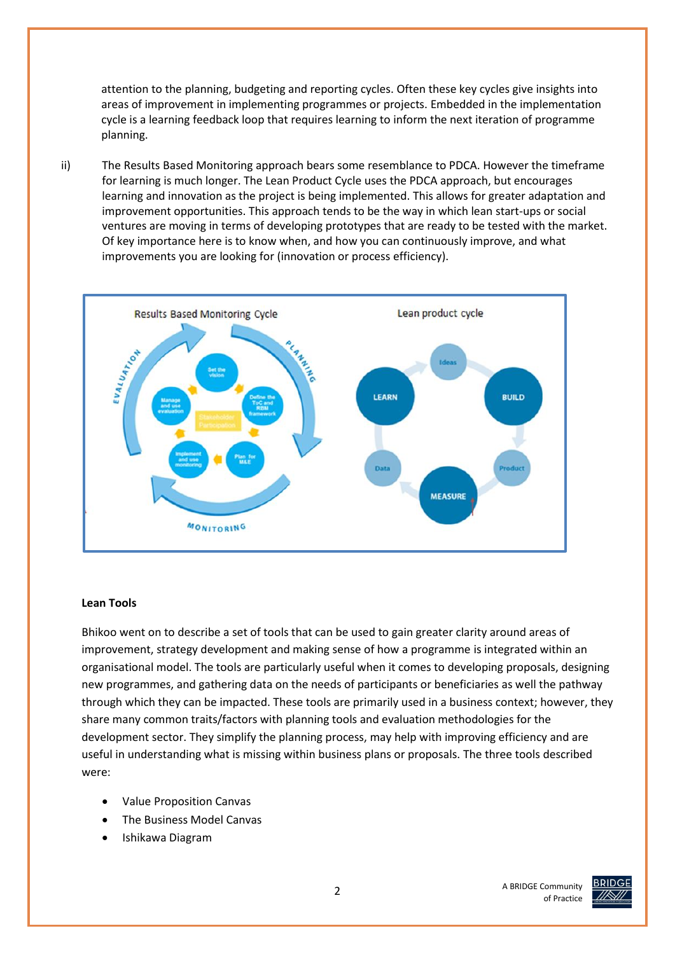attention to the planning, budgeting and reporting cycles. Often these key cycles give insights into areas of improvement in implementing programmes or projects. Embedded in the implementation cycle is a learning feedback loop that requires learning to inform the next iteration of programme planning.

ii) The Results Based Monitoring approach bears some resemblance to PDCA. However the timeframe for learning is much longer. The Lean Product Cycle uses the PDCA approach, but encourages learning and innovation as the project is being implemented. This allows for greater adaptation and improvement opportunities. This approach tends to be the way in which lean start-ups or social ventures are moving in terms of developing prototypes that are ready to be tested with the market. Of key importance here is to know when, and how you can continuously improve, and what improvements you are looking for (innovation or process efficiency).



#### **Lean Tools**

Bhikoo went on to describe a set of tools that can be used to gain greater clarity around areas of improvement, strategy development and making sense of how a programme is integrated within an organisational model. The tools are particularly useful when it comes to developing proposals, designing new programmes, and gathering data on the needs of participants or beneficiaries as well the pathway through which they can be impacted. These tools are primarily used in a business context; however, they share many common traits/factors with planning tools and evaluation methodologies for the development sector. They simplify the planning process, may help with improving efficiency and are useful in understanding what is missing within business plans or proposals. The three tools described were:

- Value Proposition Canvas
- The Business Model Canvas
- Ishikawa Diagram

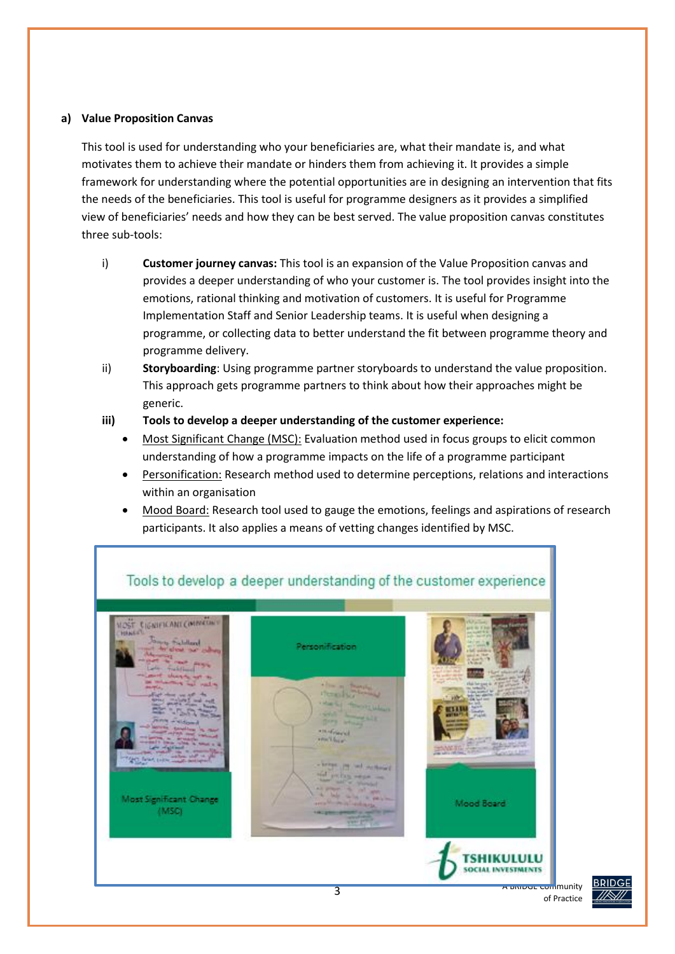#### **a) Value Proposition Canvas**

This tool is used for understanding who your beneficiaries are, what their mandate is, and what motivates them to achieve their mandate or hinders them from achieving it. It provides a simple framework for understanding where the potential opportunities are in designing an intervention that fits the needs of the beneficiaries. This tool is useful for programme designers as it provides a simplified view of beneficiaries' needs and how they can be best served. The value proposition canvas constitutes three sub-tools:

- i) **Customer journey canvas:** This tool is an expansion of the Value Proposition canvas and provides a deeper understanding of who your customer is. The tool provides insight into the emotions, rational thinking and motivation of customers. It is useful for Programme Implementation Staff and Senior Leadership teams. It is useful when designing a programme, or collecting data to better understand the fit between programme theory and programme delivery.
- ii) **Storyboarding**: Using programme partner storyboards to understand the value proposition. This approach gets programme partners to think about how their approaches might be generic.

#### **iii) Tools to develop a deeper understanding of the customer experience:**

- Most Significant Change (MSC): Evaluation method used in focus groups to elicit common understanding of how a programme impacts on the life of a programme participant
- Personification: Research method used to determine perceptions, relations and interactions within an organisation
- Mood Board: Research tool used to gauge the emotions, feelings and aspirations of research participants. It also applies a means of vetting changes identified by MSC.





of Practice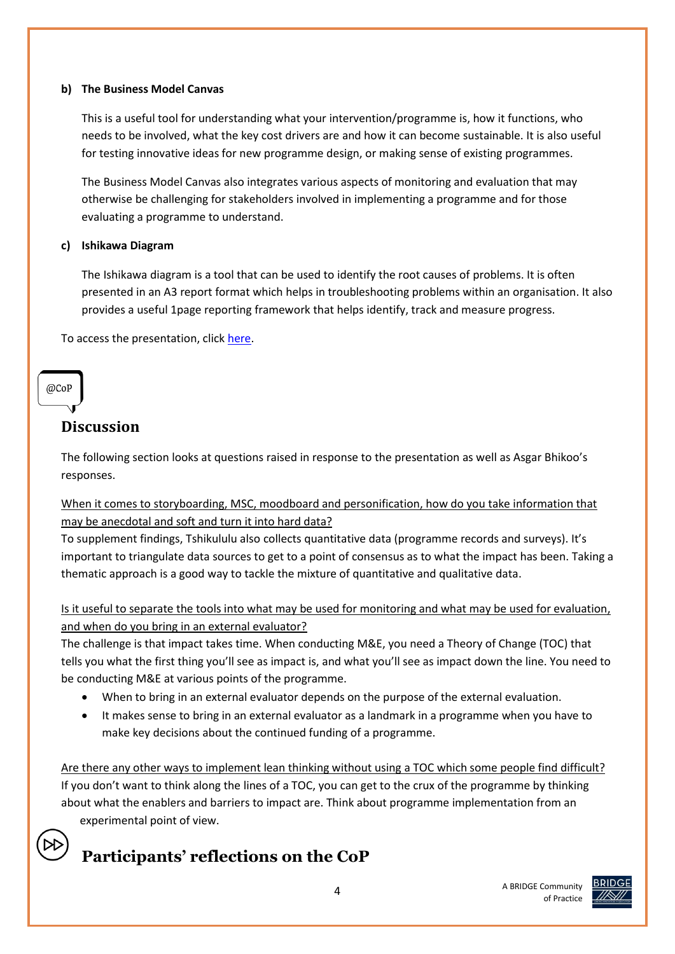#### **b) The Business Model Canvas**

This is a useful tool for understanding what your intervention/programme is, how it functions, who needs to be involved, what the key cost drivers are and how it can become sustainable. It is also useful for testing innovative ideas for new programme design, or making sense of existing programmes.

The Business Model Canvas also integrates various aspects of monitoring and evaluation that may otherwise be challenging for stakeholders involved in implementing a programme and for those evaluating a programme to understand.

#### **c) Ishikawa Diagram**

The Ishikawa diagram is a tool that can be used to identify the root causes of problems. It is often presented in an A3 report format which helps in troubleshooting problems within an organisation. It also provides a useful 1page reporting framework that helps identify, track and measure progress.

To access the presentation, clic[k here.](http://www.bridge.org.za/knowledgehub/lean-thinking-monitoring-evaluation/)

#### @CoP

### **Discussion**

The following section looks at questions raised in response to the presentation as well as Asgar Bhikoo's responses.

When it comes to storyboarding, MSC, moodboard and personification, how do you take information that may be anecdotal and soft and turn it into hard data?

To supplement findings, Tshikululu also collects quantitative data (programme records and surveys). It's important to triangulate data sources to get to a point of consensus as to what the impact has been. Taking a thematic approach is a good way to tackle the mixture of quantitative and qualitative data.

Is it useful to separate the tools into what may be used for monitoring and what may be used for evaluation, and when do you bring in an external evaluator?

The challenge is that impact takes time. When conducting M&E, you need a Theory of Change (TOC) that tells you what the first thing you'll see as impact is, and what you'll see as impact down the line. You need to be conducting M&E at various points of the programme.

- When to bring in an external evaluator depends on the purpose of the external evaluation.
- It makes sense to bring in an external evaluator as a landmark in a programme when you have to make key decisions about the continued funding of a programme.

Are there any other ways to implement lean thinking without using a TOC which some people find difficult? If you don't want to think along the lines of a TOC, you can get to the crux of the programme by thinking about what the enablers and barriers to impact are. Think about programme implementation from an experimental point of view.

## **Participants' reflections on the CoP**